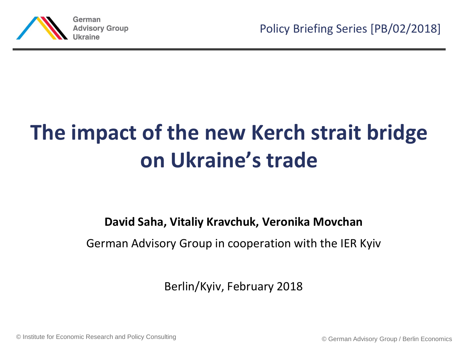

# **The impact of the new Kerch strait bridge on Ukraine's trade**

**David Saha, Vitaliy Kravchuk, Veronika Movchan**

German Advisory Group in cooperation with the IER Kyiv

Berlin/Kyiv, February 2018

© © German Advisory Group / Berlin Economics Institute for Economic Research and Policy Consulting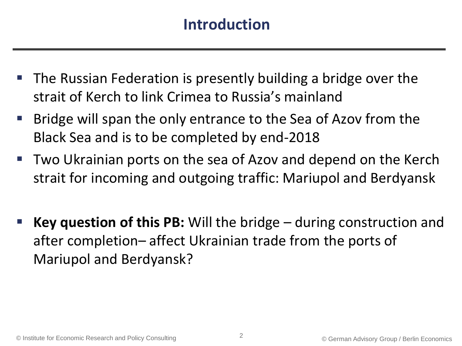### **Introduction**

- The Russian Federation is presently building a bridge over the strait of Kerch to link Crimea to Russia's mainland
- Bridge will span the only entrance to the Sea of Azov from the Black Sea and is to be completed by end-2018
- Two Ukrainian ports on the sea of Azov and depend on the Kerch strait for incoming and outgoing traffic: Mariupol and Berdyansk
- **Key question of this PB:** Will the bridge during construction and after completion– affect Ukrainian trade from the ports of Mariupol and Berdyansk?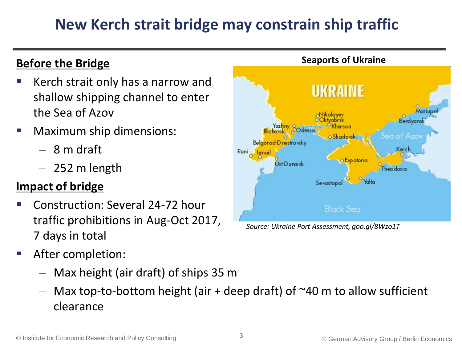## **New Kerch strait bridge may constrain ship traffic**

### **Before the Bridge**

- Kerch strait only has a narrow and shallow shipping channel to enter the Sea of Azov
- Maximum ship dimensions:
	- $-8$  m draft
	- $-252$  m length

### **Impact of bridge**

- Construction: Several 24-72 hour traffic prohibitions in Aug-Oct 2017, 7 days in total
- After completion:
	- Max height (air draft) of ships 35 m
	- $-$  Max top-to-bottom height (air + deep draft) of  $\sim$ 40 m to allow sufficient clearance



*Source: Ukraine Port Assessment, goo.gl/8Wzo1T*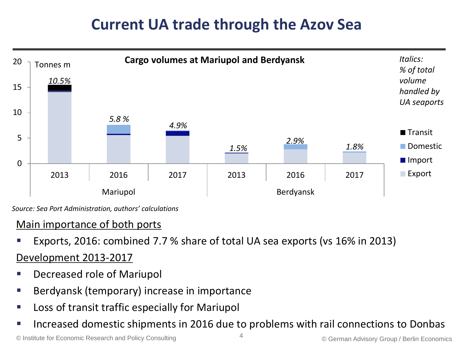### **Current UA trade through the Azov Sea**



*Source: Sea Port Administration, authors' calculations* 

### Main importance of both ports

Exports, 2016: combined 7.7 % share of total UA sea exports (vs 16% in 2013)

### Development 2013-2017

- Decreased role of Mariupol
- Berdyansk (temporary) increase in importance
- Loss of transit traffic especially for Mariupol
- Increased domestic shipments in 2016 due to problems with rail connections to Donbas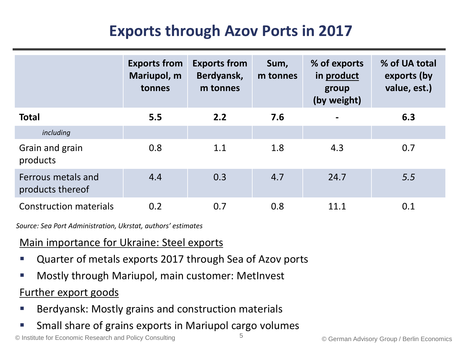### **Exports through Azov Ports in 2017**

|                                        | <b>Exports from</b><br>Mariupol, m<br>tonnes | <b>Exports from</b><br>Berdyansk,<br>m tonnes | Sum,<br>m tonnes | % of exports<br>in product<br>group<br>(by weight) | % of UA total<br>exports (by<br>value, est.) |
|----------------------------------------|----------------------------------------------|-----------------------------------------------|------------------|----------------------------------------------------|----------------------------------------------|
| <b>Total</b>                           | 5.5                                          | 2.2                                           | 7.6              | $\blacksquare$                                     | 6.3                                          |
| including                              |                                              |                                               |                  |                                                    |                                              |
| Grain and grain<br>products            | 0.8                                          | 1.1                                           | 1.8              | 4.3                                                | 0.7                                          |
| Ferrous metals and<br>products thereof | 4.4                                          | 0.3                                           | 4.7              | 24.7                                               | 5.5                                          |
| <b>Construction materials</b>          | 0.2                                          | 0.7                                           | 0.8              | 11.1                                               | 0.1                                          |

*Source: Sea Port Administration, Ukrstat, authors' estimates*

#### Main importance for Ukraine: Steel exports

- Quarter of metals exports 2017 through Sea of Azov ports
- Mostly through Mariupol, main customer: MetInvest

#### Further export goods

- Berdyansk: Mostly grains and construction materials
- Small share of grains exports in Mariupol cargo volumes

© Institute for Economic Research and Policy Consulting  $\overline{5}$  Section 2000 German Advisory Group / Berlin Economics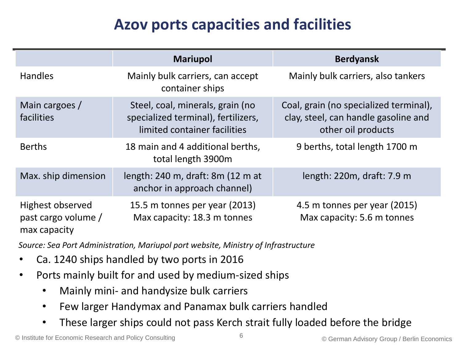## **Azov ports capacities and facilities**

|                                                         | <b>Mariupol</b>                                                                                         | <b>Berdyansk</b>                                                                                     |
|---------------------------------------------------------|---------------------------------------------------------------------------------------------------------|------------------------------------------------------------------------------------------------------|
| <b>Handles</b>                                          | Mainly bulk carriers, can accept<br>container ships                                                     | Mainly bulk carriers, also tankers                                                                   |
| Main cargoes /<br>facilities                            | Steel, coal, minerals, grain (no<br>specialized terminal), fertilizers,<br>limited container facilities | Coal, grain (no specialized terminal),<br>clay, steel, can handle gasoline and<br>other oil products |
| <b>Berths</b>                                           | 18 main and 4 additional berths,<br>total length 3900m                                                  | 9 berths, total length 1700 m                                                                        |
| Max. ship dimension                                     | length: 240 m, draft: 8m (12 m at<br>anchor in approach channel)                                        | length: $220m$ , draft: $7.9m$                                                                       |
| Highest observed<br>past cargo volume /<br>max capacity | 15.5 m tonnes per year (2013)<br>Max capacity: 18.3 m tonnes                                            | 4.5 m tonnes per year (2015)<br>Max capacity: 5.6 m tonnes                                           |

*Source: Sea Port Administration, Mariupol port website, Ministry of Infrastructure* 

- Ca. 1240 ships handled by two ports in 2016
- Ports mainly built for and used by medium-sized ships
	- Mainly mini- and handysize bulk carriers
	- Few larger Handymax and Panamax bulk carriers handled
	- These larger ships could not pass Kerch strait fully loaded before the bridge

© Institute for Economic Research and Policy Consulting © German Advisory Group / Berlin Economics <sup>6</sup>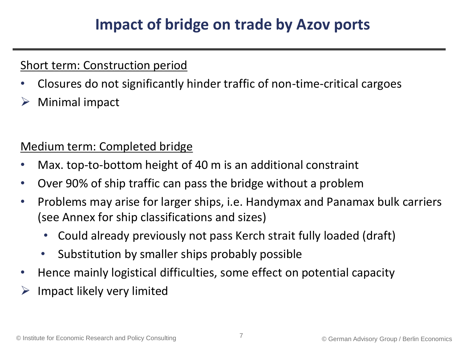### **Impact of bridge on trade by Azov ports**

### Short term: Construction period

- Closures do not significantly hinder traffic of non-time-critical cargoes
- $\triangleright$  Minimal impact

### Medium term: Completed bridge

- Max. top-to-bottom height of 40 m is an additional constraint
- Over 90% of ship traffic can pass the bridge without a problem
- Problems may arise for larger ships, i.e. Handymax and Panamax bulk carriers (see Annex for ship classifications and sizes)
	- Could already previously not pass Kerch strait fully loaded (draft)
	- Substitution by smaller ships probably possible
- Hence mainly logistical difficulties, some effect on potential capacity
- Impact likely very limited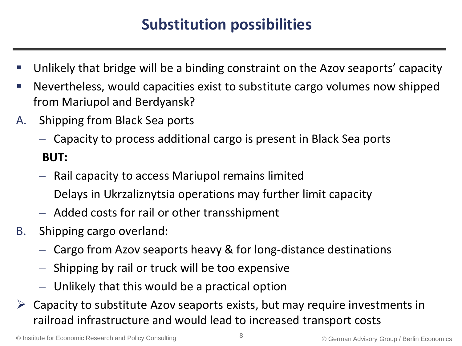### **Substitution possibilities**

- Unlikely that bridge will be a binding constraint on the Azov seaports' capacity
- Nevertheless, would capacities exist to substitute cargo volumes now shipped from Mariupol and Berdyansk?
- A. Shipping from Black Sea ports
	- Capacity to process additional cargo is present in Black Sea ports **BUT:**
	- Rail capacity to access Mariupol remains limited
	- Delays in Ukrzaliznytsia operations may further limit capacity
	- Added costs for rail or other transshipment
- B. Shipping cargo overland:
	- Cargo from Azov seaports heavy & for long-distance destinations
	- Shipping by rail or truck will be too expensive
	- Unlikely that this would be a practical option
- $\triangleright$  Capacity to substitute Azov seaports exists, but may require investments in railroad infrastructure and would lead to increased transport costs

© Institute for Economic Research and Policy Consulting © German Advisory Group / Berlin Economics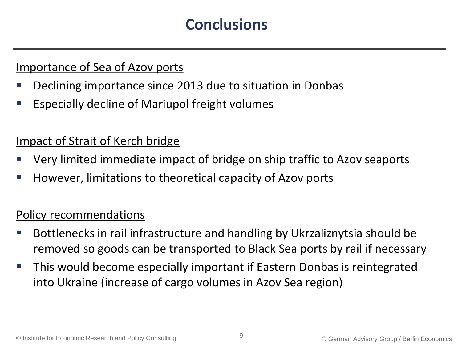### **Conclusions**

#### Importance of Sea of Azov ports

- Declining importance since 2013 due to situation in Donbas
- **Especially decline of Mariupol freight volumes**

#### Impact of Strait of Kerch bridge

- Very limited immediate impact of bridge on ship traffic to Azov seaports
- However, limitations to theoretical capacity of Azov ports

#### Policy recommendations

- Bottlenecks in rail infrastructure and handling by Ukrzaliznytsia should be removed so goods can be transported to Black Sea ports by rail if necessary
- This would become especially important if Eastern Donbas is reintegrated into Ukraine (increase of cargo volumes in Azov Sea region)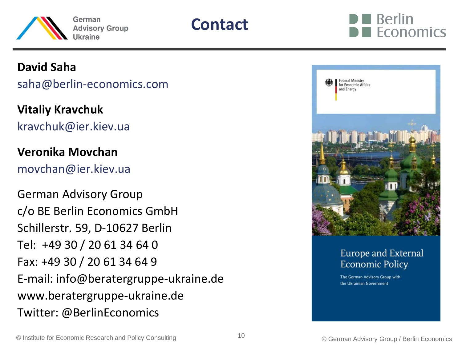





#### **David Saha**

saha@berlin-economics.com

**Vitaliy Kravchuk** kravchuk@ier.kiev.ua

#### **Veronika Movchan**

movchan@ier.kiev.ua

German Advisory Group c/o BE Berlin Economics GmbH Schillerstr. 59, D-10627 Berlin Tel: +49 30 / 20 61 34 64 0 Fax: +49 30 / 20 61 34 64 9 E-mail: info@beratergruppe-ukraine.de www.beratergruppe-ukraine.de Twitter: @BerlinEconomics



#### Europe and External **Economic Policy**

The German Advisory Group with the Ukrainian Government